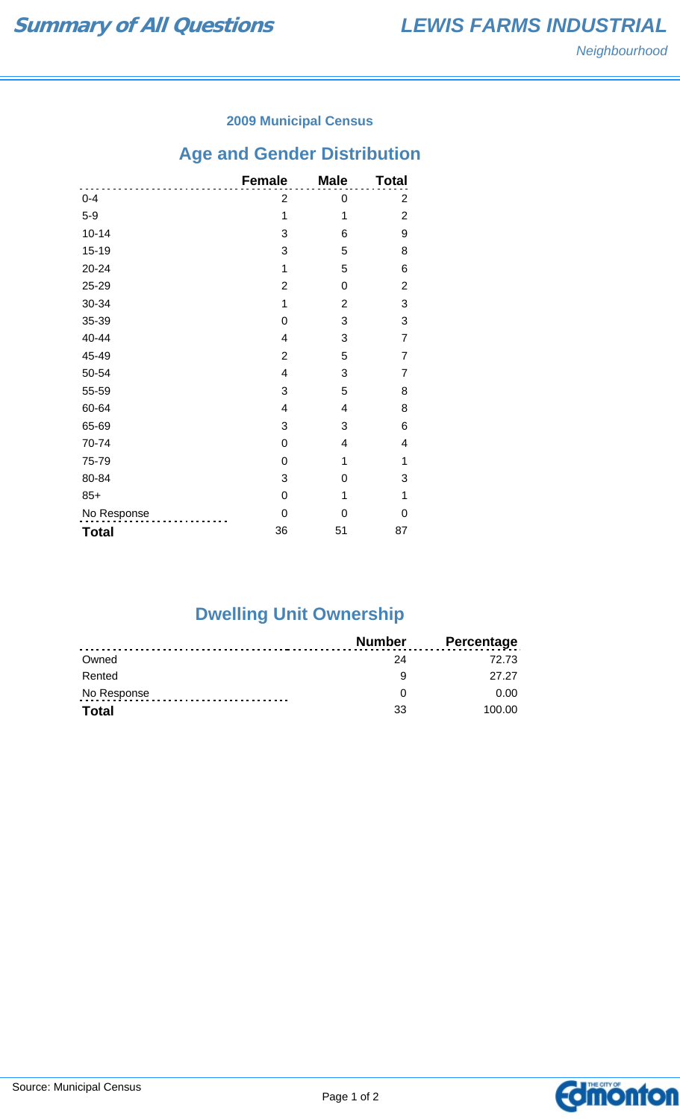#### **2009 Municipal Census**

## **Age and Gender Distribution**

|              | <b>Female</b>           | <b>Male</b>    | <b>Total</b>   |
|--------------|-------------------------|----------------|----------------|
| $0 - 4$      | $\overline{\mathbf{c}}$ | 0              | 2              |
| $5-9$        | 1                       | 1              | $\overline{c}$ |
| $10 - 14$    | 3                       | 6              | 9              |
| $15 - 19$    | 3                       | 5              | 8              |
| 20-24        | 1                       | 5              | 6              |
| 25-29        | $\overline{2}$          | 0              | $\overline{2}$ |
| 30-34        | 1                       | $\overline{2}$ | 3              |
| 35-39        | 0                       | 3              | 3              |
| 40-44        | 4                       | 3              | $\overline{7}$ |
| 45-49        | $\overline{2}$          | 5              | 7              |
| 50-54        | 4                       | 3              | 7              |
| 55-59        | 3                       | 5              | 8              |
| 60-64        | $\overline{\mathbf{4}}$ | 4              | 8              |
| 65-69        | 3                       | 3              | 6              |
| 70-74        | 0                       | 4              | 4              |
| 75-79        | 0                       | 1              | 1              |
| 80-84        | 3                       | 0              | 3              |
| $85+$        | 0                       | 1              | 1              |
| No Response  | 0                       | 0              | 0              |
| <b>Total</b> | 36                      | 51             | 87             |

# **Dwelling Unit Ownership**

|              | <b>Number</b> | <b>Percentage</b> |
|--------------|---------------|-------------------|
| Owned        | 24            | 72.73             |
| Rented       | a             | 27.27             |
| No Response  |               | 0.00              |
| <b>Total</b> | 33            | 100.00            |